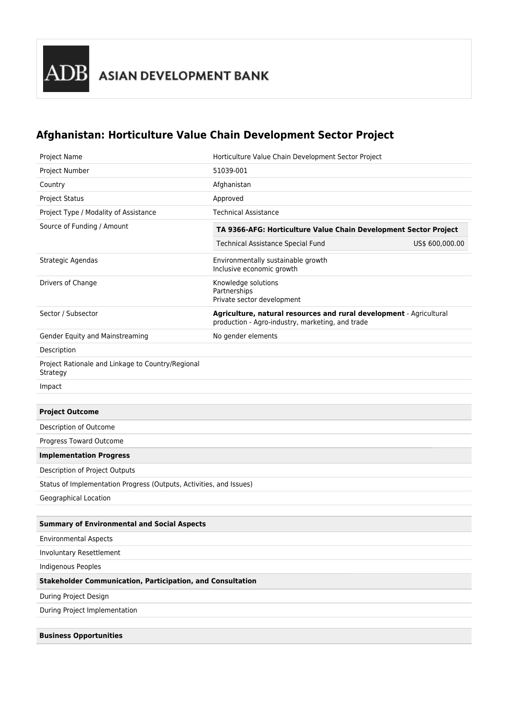## **Afghanistan: Horticulture Value Chain Development Sector Project**

| <b>Project Name</b>                                                 | Horticulture Value Chain Development Sector Project                                                                     |                 |  |  |  |
|---------------------------------------------------------------------|-------------------------------------------------------------------------------------------------------------------------|-----------------|--|--|--|
| Project Number                                                      | 51039-001                                                                                                               |                 |  |  |  |
| Country                                                             | Afghanistan                                                                                                             |                 |  |  |  |
| <b>Project Status</b>                                               | Approved                                                                                                                |                 |  |  |  |
| Project Type / Modality of Assistance                               | <b>Technical Assistance</b>                                                                                             |                 |  |  |  |
| Source of Funding / Amount                                          | TA 9366-AFG: Horticulture Value Chain Development Sector Project                                                        |                 |  |  |  |
|                                                                     | <b>Technical Assistance Special Fund</b>                                                                                | US\$ 600,000.00 |  |  |  |
| Strategic Agendas                                                   | Environmentally sustainable growth<br>Inclusive economic growth                                                         |                 |  |  |  |
| Drivers of Change                                                   | Knowledge solutions<br>Partnerships<br>Private sector development                                                       |                 |  |  |  |
| Sector / Subsector                                                  | Agriculture, natural resources and rural development - Agricultural<br>production - Agro-industry, marketing, and trade |                 |  |  |  |
| Gender Equity and Mainstreaming                                     | No gender elements                                                                                                      |                 |  |  |  |
| Description                                                         |                                                                                                                         |                 |  |  |  |
| Project Rationale and Linkage to Country/Regional<br>Strategy       |                                                                                                                         |                 |  |  |  |
| Impact                                                              |                                                                                                                         |                 |  |  |  |
|                                                                     |                                                                                                                         |                 |  |  |  |
| <b>Project Outcome</b>                                              |                                                                                                                         |                 |  |  |  |
| Description of Outcome                                              |                                                                                                                         |                 |  |  |  |
| Progress Toward Outcome                                             |                                                                                                                         |                 |  |  |  |
| <b>Implementation Progress</b>                                      |                                                                                                                         |                 |  |  |  |
| Description of Project Outputs                                      |                                                                                                                         |                 |  |  |  |
| Status of Implementation Progress (Outputs, Activities, and Issues) |                                                                                                                         |                 |  |  |  |
| Geographical Location                                               |                                                                                                                         |                 |  |  |  |
|                                                                     |                                                                                                                         |                 |  |  |  |
| <b>Summary of Environmental and Social Aspects</b>                  |                                                                                                                         |                 |  |  |  |
| <b>Environmental Aspects</b>                                        |                                                                                                                         |                 |  |  |  |
| Involuntary Resettlement                                            |                                                                                                                         |                 |  |  |  |
| Indigenous Peoples                                                  |                                                                                                                         |                 |  |  |  |
| <b>Stakeholder Communication, Participation, and Consultation</b>   |                                                                                                                         |                 |  |  |  |
| During Project Design                                               |                                                                                                                         |                 |  |  |  |
| During Project Implementation                                       |                                                                                                                         |                 |  |  |  |
| <b>Business Opportunities</b>                                       |                                                                                                                         |                 |  |  |  |